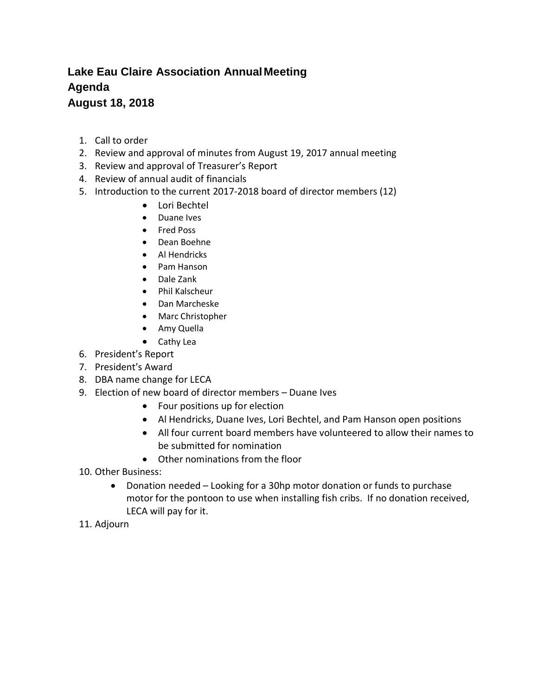## **Lake Eau Claire Association AnnualMeeting Agenda August 18, 2018**

- 1. Call to order
- 2. Review and approval of minutes from August 19, 2017 annual meeting
- 3. Review and approval of Treasurer's Report
- 4. Review of annual audit of financials
- 5. Introduction to the current 2017-2018 board of director members (12)
	- Lori Bechtel
	- Duane Ives
	- Fred Poss
	- Dean Boehne
	- Al Hendricks
	- Pam Hanson
	- Dale Zank
	- Phil Kalscheur
	- Dan Marcheske
	- Marc Christopher
	- Amy Quella
	- Cathy Lea
- 6. President's Report
- 7. President's Award
- 8. DBA name change for LECA
- 9. Election of new board of director members Duane Ives
	- Four positions up for election
	- Al Hendricks, Duane Ives, Lori Bechtel, and Pam Hanson open positions
	- All four current board members have volunteered to allow their names to be submitted for nomination
	- Other nominations from the floor
- 10. Other Business:
	- Donation needed Looking for a 30hp motor donation or funds to purchase motor for the pontoon to use when installing fish cribs. If no donation received, LECA will pay for it.
- 11. Adjourn